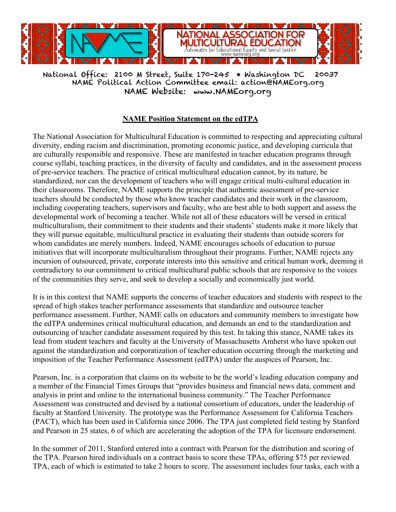

National Office: 2100 M Street, Suite 170-245 • Washington DC 20037 NAME Political Action Committee email: action@NAMEorg.org NAME Website: www.NAMEorg.org

## **NAME Position Statement on the edTPA**

The National Association for Multicultural Education is committed to respecting and appreciating cultural diversity, ending racism and discrimination, promoting economic justice, and developing curricula that are culturally responsible and responsive. These are manifested in teacher education programs through course syllabi, teaching practices, in the diversity of faculty and candidates, and in the assessment process of pre-service teachers. The practice of critical multicultural education cannot, by its nature, be standardized, nor can the development of teachers who will engage critical multi-cultural education in their classrooms. Therefore, NAME supports the principle that authentic assessment of pre-service teachers should be conducted by those who know teacher candidates and their work in the classroom, including cooperating teachers, supervisors and faculty, who are best able to both support and assess the developmental work of becoming a teacher. While not all of these educators will be versed in critical multiculturalism, their commitment to their students and their students' students make it more likely that they will pursue equitable, multicultural practice in evaluating their students than outside scorers for whom candidates are merely numbers. Indeed, NAME encourages schools of education to pursue initiatives that will incorporate multiculturalism throughout their programs. Further, NAME rejects any incursion of outsourced, private, corporate interests into this sensitive and critical human work, deeming it contradictory to our commitment to critical multicultural public schools that are responsive to the voices of the communities they serve, and seek to develop a socially and economically just world.

It is in this context that NAME supports the concerns of teacher educators and students with respect to the spread of high stakes teacher performance assessments that standardize and outsource teacher performance assessment. Further, NAME calls on educators and community members to investigate how the edTPA undermines critical multicultural education, and demands an end to the standardization and outsourcing of teacher candidate assessment required by this test. In taking this stance, NAME takes its lead from student teachers and faculty at the University of Massachusetts Amherst who have spoken out against the standardization and corporatization of teacher education occurring through the marketing and imposition of the Teacher Performance Assessment (edTPA) under the auspices of Pearson, Inc.

Pearson, Inc. is a corporation that claims on its website to be the world's leading education company and a member of the Financial Times Groups that "provides business and financial news data, comment and analysis in print and online to the international business community." The Teacher Performance Assessment was constructed and devised by a national consortium of educators, under the leadership of faculty at Stanford University. The prototype was the Performance Assessment for California Teachers (PACT), which has been used in California since 2006. The TPA just completed field testing by Stanford and Pearson in 25 states, 6 of which are accelerating the adoption of the TPA for licensure endorsement.

In the summer of 2011, Stanford entered into a contract with Pearson for the distribution and scoring of the TPA. Pearson hired individuals on a contract basis to score these TPAs, offering \$75 per reviewed TPA, each of which is estimated to take 2 hours to score. The assessment includes four tasks, each with a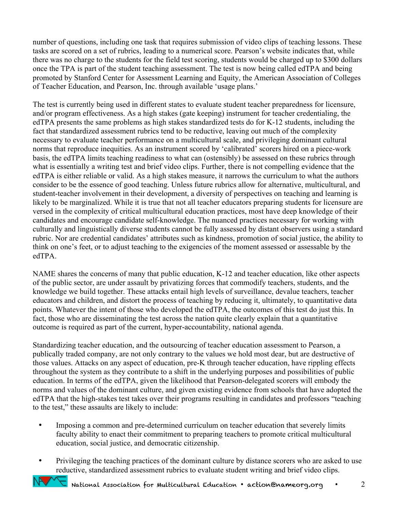number of questions, including one task that requires submission of video clips of teaching lessons. These tasks are scored on a set of rubrics, leading to a numerical score. Pearson's website indicates that, while there was no charge to the students for the field test scoring, students would be charged up to \$300 dollars once the TPA is part of the student teaching assessment. The test is now being called edTPA and being promoted by Stanford Center for Assessment Learning and Equity, the American Association of Colleges of Teacher Education, and Pearson, Inc. through available 'usage plans.'

The test is currently being used in different states to evaluate student teacher preparedness for licensure, and/or program effectiveness. As a high stakes (gate keeping) instrument for teacher credentialing, the edTPA presents the same problems as high stakes standardized tests do for K-12 students, including the fact that standardized assessment rubrics tend to be reductive, leaving out much of the complexity necessary to evaluate teacher performance on a multicultural scale, and privileging dominant cultural norms that reproduce inequities. As an instrument scored by 'calibrated' scorers hired on a piece-work basis, the edTPA limits teaching readiness to what can (ostensibly) be assessed on these rubrics through what is essentially a writing test and brief video clips. Further, there is not compelling evidence that the edTPA is either reliable or valid. As a high stakes measure, it narrows the curriculum to what the authors consider to be the essence of good teaching. Unless future rubrics allow for alternative, multicultural, and student-teacher involvement in their development, a diversity of perspectives on teaching and learning is likely to be marginalized. While it is true that not all teacher educators preparing students for licensure are versed in the complexity of critical multicultural education practices, most have deep knowledge of their candidates and encourage candidate self-knowledge. The nuanced practices necessary for working with culturally and linguistically diverse students cannot be fully assessed by distant observers using a standard rubric. Nor are credential candidates' attributes such as kindness, promotion of social justice, the ability to think on one's feet, or to adjust teaching to the exigencies of the moment assessed or assessable by the edTPA.

NAME shares the concerns of many that public education, K-12 and teacher education, like other aspects of the public sector, are under assault by privatizing forces that commodify teachers, students, and the knowledge we build together. These attacks entail high levels of surveillance, devalue teachers, teacher educators and children, and distort the process of teaching by reducing it, ultimately, to quantitative data points. Whatever the intent of those who developed the edTPA, the outcomes of this test do just this. In fact, those who are disseminating the test across the nation quite clearly explain that a quantitative outcome is required as part of the current, hyper-accountability, national agenda.

Standardizing teacher education, and the outsourcing of teacher education assessment to Pearson, a publically traded company, are not only contrary to the values we hold most dear, but are destructive of those values. Attacks on any aspect of education, pre-K through teacher education, have rippling effects throughout the system as they contribute to a shift in the underlying purposes and possibilities of public education. In terms of the edTPA, given the likelihood that Pearson-delegated scorers will embody the norms and values of the dominant culture, and given existing evidence from schools that have adopted the edTPA that the high-stakes test takes over their programs resulting in candidates and professors "teaching to the test," these assaults are likely to include:

- Imposing a common and pre-determined curriculum on teacher education that severely limits faculty ability to enact their commitment to preparing teachers to promote critical multicultural education, social justice, and democratic citizenship.
- Privileging the teaching practices of the dominant culture by distance scorers who are asked to use reductive, standardized assessment rubrics to evaluate student writing and brief video clips.

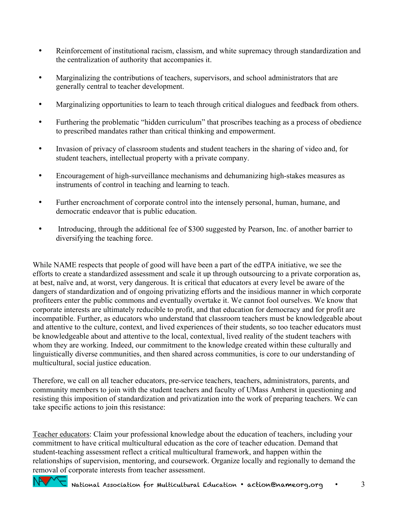- Reinforcement of institutional racism, classism, and white supremacy through standardization and the centralization of authority that accompanies it.
- Marginalizing the contributions of teachers, supervisors, and school administrators that are generally central to teacher development.
- Marginalizing opportunities to learn to teach through critical dialogues and feedback from others.
- Furthering the problematic "hidden curriculum" that proscribes teaching as a process of obedience to prescribed mandates rather than critical thinking and empowerment.
- Invasion of privacy of classroom students and student teachers in the sharing of video and, for student teachers, intellectual property with a private company.
- Encouragement of high-surveillance mechanisms and dehumanizing high-stakes measures as instruments of control in teaching and learning to teach.
- Further encroachment of corporate control into the intensely personal, human, humane, and democratic endeavor that is public education.
- Introducing, through the additional fee of \$300 suggested by Pearson, Inc. of another barrier to diversifying the teaching force.

While NAME respects that people of good will have been a part of the edTPA initiative, we see the efforts to create a standardized assessment and scale it up through outsourcing to a private corporation as, at best, naïve and, at worst, very dangerous. It is critical that educators at every level be aware of the dangers of standardization and of ongoing privatizing efforts and the insidious manner in which corporate profiteers enter the public commons and eventually overtake it. We cannot fool ourselves. We know that corporate interests are ultimately reducible to profit, and that education for democracy and for profit are incompatible. Further, as educators who understand that classroom teachers must be knowledgeable about and attentive to the culture, context, and lived experiences of their students, so too teacher educators must be knowledgeable about and attentive to the local, contextual, lived reality of the student teachers with whom they are working. Indeed, our commitment to the knowledge created within these culturally and linguistically diverse communities, and then shared across communities, is core to our understanding of multicultural, social justice education.

Therefore, we call on all teacher educators, pre-service teachers, teachers, administrators, parents, and community members to join with the student teachers and faculty of UMass Amherst in questioning and resisting this imposition of standardization and privatization into the work of preparing teachers. We can take specific actions to join this resistance:

Teacher educators: Claim your professional knowledge about the education of teachers, including your commitment to have critical multicultural education as the core of teacher education. Demand that student-teaching assessment reflect a critical multicultural framework, and happen within the relationships of supervision, mentoring, and coursework. Organize locally and regionally to demand the removal of corporate interests from teacher assessment.